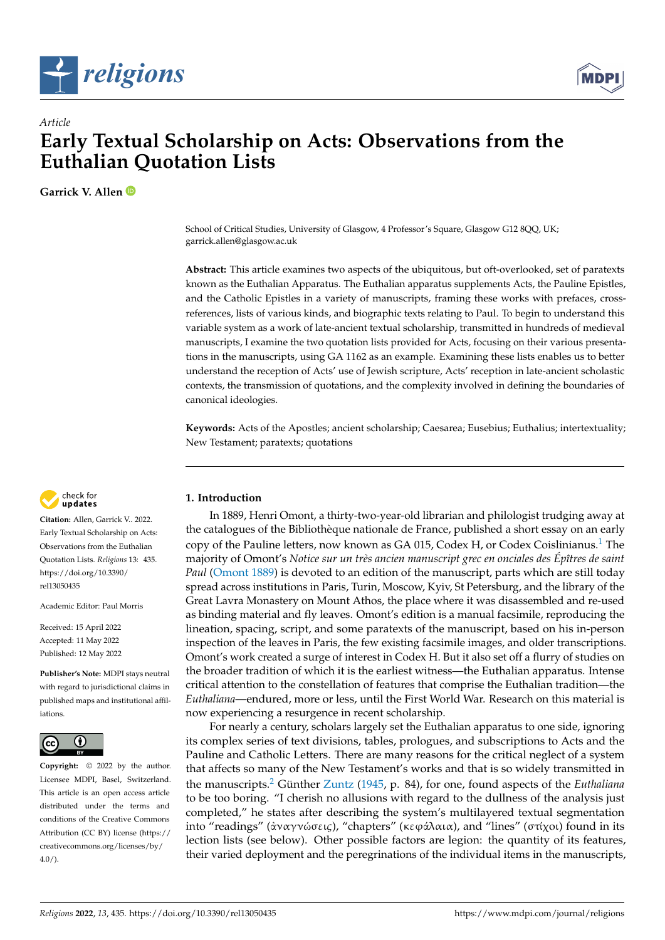



# *Article* **Early Textual Scholarship on Acts: Observations from the Euthalian Quotation Lists**

**Garrick V. Allen**

School of Critical Studies, University of Glasgow, 4 Professor's Square, Glasgow G12 8QQ, UK; garrick.allen@glasgow.ac.uk

**Abstract:** This article examines two aspects of the ubiquitous, but oft-overlooked, set of paratexts known as the Euthalian Apparatus. The Euthalian apparatus supplements Acts, the Pauline Epistles, and the Catholic Epistles in a variety of manuscripts, framing these works with prefaces, crossreferences, lists of various kinds, and biographic texts relating to Paul. To begin to understand this variable system as a work of late-ancient textual scholarship, transmitted in hundreds of medieval manuscripts, I examine the two quotation lists provided for Acts, focusing on their various presentations in the manuscripts, using GA 1162 as an example. Examining these lists enables us to better understand the reception of Acts' use of Jewish scripture, Acts' reception in late-ancient scholastic contexts, the transmission of quotations, and the complexity involved in defining the boundaries of canonical ideologies.

**Keywords:** Acts of the Apostles; ancient scholarship; Caesarea; Eusebius; Euthalius; intertextuality; New Testament; paratexts; quotations



**Citation:** Allen, Garrick V.. 2022. Early Textual Scholarship on Acts: Observations from the Euthalian Quotation Lists. *Religions* 13: 435. [https://doi.org/10.3390/](https://doi.org/10.3390/rel13050435) [rel13050435](https://doi.org/10.3390/rel13050435)

Academic Editor: Paul Morris

Received: 15 April 2022 Accepted: 11 May 2022 Published: 12 May 2022

**Publisher's Note:** MDPI stays neutral with regard to jurisdictional claims in published maps and institutional affiliations.



**Copyright:** © 2022 by the author. Licensee MDPI, Basel, Switzerland. This article is an open access article distributed under the terms and conditions of the Creative Commons Attribution (CC BY) license [\(https://](https://creativecommons.org/licenses/by/4.0/) [creativecommons.org/licenses/by/](https://creativecommons.org/licenses/by/4.0/)  $4.0/$ ).

## **1. Introduction**

<span id="page-0-0"></span>In 1889, Henri Omont, a thirty-two-year-old librarian and philologist trudging away at the catalogues of the Bibliothèque nationale de France, published a short essay on an early copy of the Pauline letters, now known as GA 0[1](#page-10-0)5, Codex H, or Codex Coislinianus.<sup>1</sup> The majority of Omont's *Notice sur un très ancien manuscript grec en onciales des Épîtres de saint Paul* [\(Omont](#page-12-0) [1889\)](#page-12-0) is devoted to an edition of the manuscript, parts which are still today spread across institutions in Paris, Turin, Moscow, Kyiv, St Petersburg, and the library of the Great Lavra Monastery on Mount Athos, the place where it was disassembled and re-used as binding material and fly leaves. Omont's edition is a manual facsimile, reproducing the lineation, spacing, script, and some paratexts of the manuscript, based on his in-person inspection of the leaves in Paris, the few existing facsimile images, and older transcriptions. Omont's work created a surge of interest in Codex H. But it also set off a flurry of studies on the broader tradition of which it is the earliest witness—the Euthalian apparatus. Intense critical attention to the constellation of features that comprise the Euthalian tradition—the *Euthaliana*—endured, more or less, until the First World War. Research on this material is now experiencing a resurgence in recent scholarship.

<span id="page-0-1"></span>For nearly a century, scholars largely set the Euthalian apparatus to one side, ignoring its complex series of text divisions, tables, prologues, and subscriptions to Acts and the Pauline and Catholic Letters. There are many reasons for the critical neglect of a system that affects so many of the New Testament's works and that is so widely transmitted in the manuscripts.[2](#page-10-1) Günther [Zuntz](#page-13-0) [\(1945,](#page-13-0) p. 84), for one, found aspects of the *Euthaliana* to be too boring. "I cherish no allusions with regard to the dullness of the analysis just completed," he states after describing the system's multilayered textual segmentation into "readings" (ἀναγνώσει*ς*), "chapters" (κεϕάλαια), and "lines" (στίχoι) found in its lection lists (see below). Other possible factors are legion: the quantity of its features, their varied deployment and the peregrinations of the individual items in the manuscripts,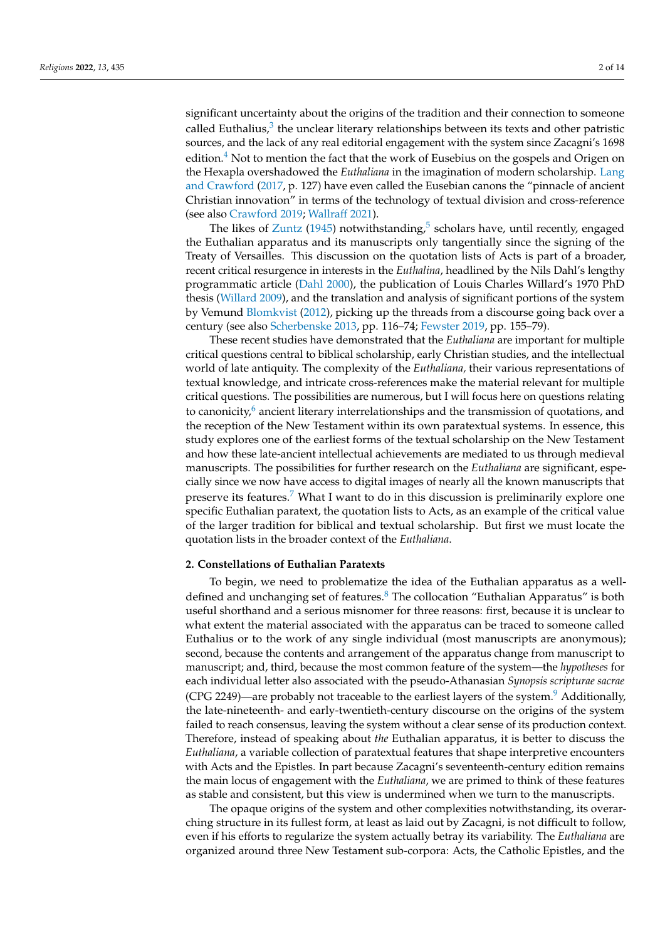<span id="page-1-1"></span><span id="page-1-0"></span>significant uncertainty about the origins of the tradition and their connection to someone called Euthalius, $^3$  $^3$  the unclear literary relationships between its texts and other patristic sources, and the lack of any real editorial engagement with the system since Zacagni's 1698 edition. $4$  Not to mention the fact that the work of Eusebius on the gospels and Origen on the Hexapla overshadowed the *Euthaliana* in the imagination of modern scholarship. [Lang](#page-12-1) [and Crawford](#page-12-1) [\(2017,](#page-12-1) p. 127) have even called the Eusebian canons the "pinnacle of ancient Christian innovation" in terms of the technology of textual division and cross-reference (see also [Crawford](#page-12-2) [2019;](#page-12-2) [Wallraff](#page-12-3) [2021\)](#page-12-3).

<span id="page-1-2"></span>The likes of  $Z$ untz [\(1945\)](#page-13-0) notwithstanding,<sup>[5](#page-10-4)</sup> scholars have, until recently, engaged the Euthalian apparatus and its manuscripts only tangentially since the signing of the Treaty of Versailles. This discussion on the quotation lists of Acts is part of a broader, recent critical resurgence in interests in the *Euthalina*, headlined by the Nils Dahl's lengthy programmatic article [\(Dahl](#page-12-4) [2000\)](#page-12-4), the publication of Louis Charles Willard's 1970 PhD thesis [\(Willard](#page-12-5) [2009\)](#page-12-5), and the translation and analysis of significant portions of the system by Vemund [Blomkvist](#page-12-6) [\(2012\)](#page-12-6), picking up the threads from a discourse going back over a century (see also [Scherbenske](#page-12-7) [2013,](#page-12-7) pp. 116–74; [Fewster](#page-12-8) [2019,](#page-12-8) pp. 155–79).

<span id="page-1-3"></span>These recent studies have demonstrated that the *Euthaliana* are important for multiple critical questions central to biblical scholarship, early Christian studies, and the intellectual world of late antiquity. The complexity of the *Euthaliana,* their various representations of textual knowledge, and intricate cross-references make the material relevant for multiple critical questions. The possibilities are numerous, but I will focus here on questions relating to canonicity, $6$  ancient literary interrelationships and the transmission of quotations, and the reception of the New Testament within its own paratextual systems. In essence, this study explores one of the earliest forms of the textual scholarship on the New Testament and how these late-ancient intellectual achievements are mediated to us through medieval manuscripts. The possibilities for further research on the *Euthaliana* are significant, especially since we now have access to digital images of nearly all the known manuscripts that preserve its features.<sup>[7](#page-10-6)</sup> What I want to do in this discussion is preliminarily explore one specific Euthalian paratext, the quotation lists to Acts, as an example of the critical value of the larger tradition for biblical and textual scholarship. But first we must locate the quotation lists in the broader context of the *Euthaliana*.

#### <span id="page-1-4"></span>**2. Constellations of Euthalian Paratexts**

<span id="page-1-6"></span><span id="page-1-5"></span>To begin, we need to problematize the idea of the Euthalian apparatus as a welldefined and unchanging set of features. $8$  The collocation "Euthalian Apparatus" is both useful shorthand and a serious misnomer for three reasons: first, because it is unclear to what extent the material associated with the apparatus can be traced to someone called Euthalius or to the work of any single individual (most manuscripts are anonymous); second, because the contents and arrangement of the apparatus change from manuscript to manuscript; and, third, because the most common feature of the system—the *hypotheses* for each individual letter also associated with the pseudo-Athanasian *Synopsis scripturae sacrae* (CPG 224[9](#page-10-8))—are probably not traceable to the earliest layers of the system.<sup>9</sup> Additionally, the late-nineteenth- and early-twentieth-century discourse on the origins of the system failed to reach consensus, leaving the system without a clear sense of its production context. Therefore, instead of speaking about *the* Euthalian apparatus, it is better to discuss the *Euthaliana*, a variable collection of paratextual features that shape interpretive encounters with Acts and the Epistles. In part because Zacagni's seventeenth-century edition remains the main locus of engagement with the *Euthaliana*, we are primed to think of these features as stable and consistent, but this view is undermined when we turn to the manuscripts.

The opaque origins of the system and other complexities notwithstanding, its overarching structure in its fullest form, at least as laid out by Zacagni, is not difficult to follow, even if his efforts to regularize the system actually betray its variability. The *Euthaliana* are organized around three New Testament sub-corpora: Acts, the Catholic Epistles, and the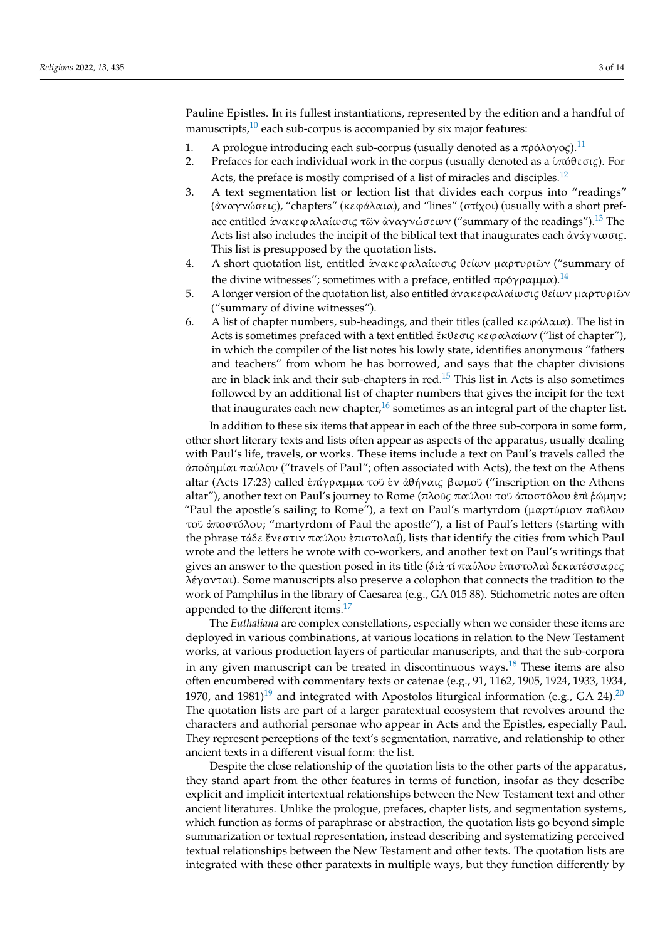<span id="page-2-0"></span>Pauline Epistles. In its fullest instantiations, represented by the edition and a handful of manuscripts, $10$  each sub-corpus is accompanied by six major features:

- <span id="page-2-1"></span>1. A prologue introducing each sub-corpus (usually denoted as a πρóλoγo*ς*).[11](#page-10-10)
- 2. Prefaces for each individual work in the corpus (usually denoted as a ὑπóθεσι*ς*). For Acts, the preface is mostly comprised of a list of miracles and disciples.<sup>[12](#page-10-11)</sup>
- <span id="page-2-3"></span><span id="page-2-2"></span>3. A text segmentation list or lection list that divides each corpus into "readings" (ἀναγνώσει*ς*), "chapters" (κεϕάλαια), and "lines" (στίχoι) (usually with a short preface entitled ἀνακεϕαλαίωσι*ς* τῶν ἀναγνώσεων ("summary of the readings").[13](#page-10-12) The Acts list also includes the incipit of the biblical text that inaugurates each ἀνάγνωσι*ς*. This list is presupposed by the quotation lists.
- 4. A short quotation list, entitled ἀνακεϕαλαίωσι*ς* θείων µαρτυριῶν ("summary of the divine witnesses"; sometimes with a preface, entitled πρόγραμμα).<sup>[14](#page-10-13)</sup>
- <span id="page-2-4"></span>5. A longer version of the quotation list, also entitled ἀνακεϕαλαίωσι*ς* θείων µαρτυριῶν ("summary of divine witnesses").
- 6. A list of chapter numbers, sub-headings, and their titles (called κεφάλαια). The list in Acts is sometimes prefaced with a text entitled ἔκθεσι*ς* κεϕαλαίων ("list of chapter"), in which the compiler of the list notes his lowly state, identifies anonymous "fathers and teachers" from whom he has borrowed, and says that the chapter divisions are in black ink and their sub-chapters in red. $15$  This list in Acts is also sometimes followed by an additional list of chapter numbers that gives the incipit for the text that inaugurates each new chapter, $16$  sometimes as an integral part of the chapter list.

<span id="page-2-6"></span><span id="page-2-5"></span>In addition to these six items that appear in each of the three sub-corpora in some form, other short literary texts and lists often appear as aspects of the apparatus, usually dealing with Paul's life, travels, or works. These items include a text on Paul's travels called the ἀπoδηµίαι παύλoυ ("travels of Paul"; often associated with Acts), the text on the Athens altar (Acts 17:23) called ἐπίγραµµα τoῦ ἐν ἀθήναι*ς* βωµoῦ ("inscription on the Athens altar"), another text on Paul's journey to Rome (πλoῦ*ς* παύλoυ τoῦ ἀπoστóλoυ ἐπὶ ῥώµην; "Paul the apostle's sailing to Rome"), a text on Paul's martyrdom (μαρτύριον παῦλου τoῦ ἀπoστóλoυ; "martyrdom of Paul the apostle"), a list of Paul's letters (starting with the phrase τάδε ἔνεστιν παύλου ἐπιστολαί), lists that identify the cities from which Paul wrote and the letters he wrote with co-workers, and another text on Paul's writings that gives an answer to the question posed in its title (διὰ τί παύλoυ ἐπιστoλαὶ δεκατέσσαρε*ς* λέγoνται). Some manuscripts also preserve a colophon that connects the tradition to the work of Pamphilus in the library of Caesarea (e.g., GA 015 88). Stichometric notes are often appended to the different items.<sup>[17](#page-10-16)</sup>

<span id="page-2-10"></span><span id="page-2-9"></span><span id="page-2-8"></span><span id="page-2-7"></span>The *Euthaliana* are complex constellations, especially when we consider these items are deployed in various combinations, at various locations in relation to the New Testament works, at various production layers of particular manuscripts, and that the sub-corpora in any given manuscript can be treated in discontinuous ways.[18](#page-10-17) These items are also often encumbered with commentary texts or catenae (e.g., 91, 1162, 1905, 1924, 1933, 1934, [19](#page-10-18)70, and 1981)<sup>19</sup> and integrated with Apostolos liturgical information (e.g., GA 24).<sup>[20](#page-10-19)</sup> The quotation lists are part of a larger paratextual ecosystem that revolves around the characters and authorial personae who appear in Acts and the Epistles, especially Paul. They represent perceptions of the text's segmentation, narrative, and relationship to other ancient texts in a different visual form: the list.

Despite the close relationship of the quotation lists to the other parts of the apparatus, they stand apart from the other features in terms of function, insofar as they describe explicit and implicit intertextual relationships between the New Testament text and other ancient literatures. Unlike the prologue, prefaces, chapter lists, and segmentation systems, which function as forms of paraphrase or abstraction, the quotation lists go beyond simple summarization or textual representation, instead describing and systematizing perceived textual relationships between the New Testament and other texts. The quotation lists are integrated with these other paratexts in multiple ways, but they function differently by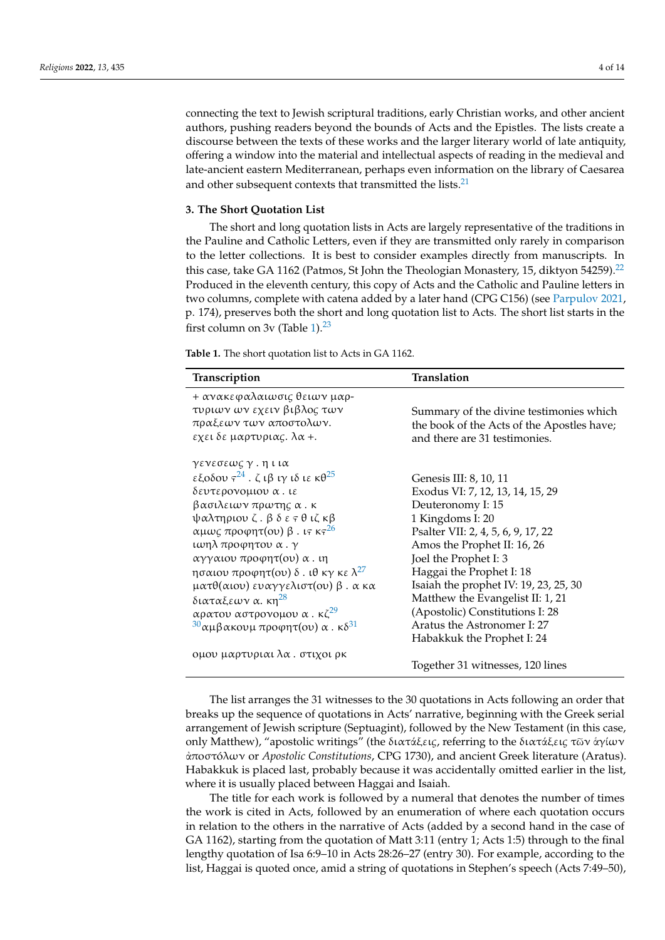connecting the text to Jewish scriptural traditions, early Christian works, and other ancient authors, pushing readers beyond the bounds of Acts and the Epistles. The lists create a discourse between the texts of these works and the larger literary world of late antiquity, offering a window into the material and intellectual aspects of reading in the medieval and late-ancient eastern Mediterranean, perhaps even information on the library of Caesarea and other subsequent contexts that transmitted the lists. $21$ 

#### <span id="page-3-1"></span>**3. The Short Quotation List**

<span id="page-3-2"></span>The short and long quotation lists in Acts are largely representative of the traditions in the Pauline and Catholic Letters, even if they are transmitted only rarely in comparison to the letter collections. It is best to consider examples directly from manuscripts. In this case, take GA 1162 (Patmos, St John the Theologian Monastery, 15, diktyon 54259).<sup>[22](#page-10-21)</sup> Produced in the eleventh century, this copy of Acts and the Catholic and Pauline letters in two columns, complete with catena added by a later hand (CPG C156) (see [Parpulov](#page-12-9) [2021,](#page-12-9) p. 174), preserves both the short and long quotation list to Acts. The short list starts in the first column on 3v (Table  $1$ ).<sup>[23](#page-11-0)</sup>

<span id="page-3-3"></span><span id="page-3-0"></span>**Table 1.** The short quotation list to Acts in GA 1162.

<span id="page-3-6"></span><span id="page-3-5"></span><span id="page-3-4"></span>

| Transcription                                                                                                                                                                                                                                                                                                                                                                                                                                                                    | Translation                                                                                                                                                                                                                                                                                                                                                                                                |  |
|----------------------------------------------------------------------------------------------------------------------------------------------------------------------------------------------------------------------------------------------------------------------------------------------------------------------------------------------------------------------------------------------------------------------------------------------------------------------------------|------------------------------------------------------------------------------------------------------------------------------------------------------------------------------------------------------------------------------------------------------------------------------------------------------------------------------------------------------------------------------------------------------------|--|
| + ανακεφαλαιωσις θειων μαρ-<br>τυριων ων εχειν βιβλος των<br>πραξεων των αποστολων.<br>εχει δε μαρτυριας. λα +.                                                                                                                                                                                                                                                                                                                                                                  | Summary of the divine testimonies which<br>the book of the Acts of the Apostles have;<br>and there are 31 testimonies.                                                                                                                                                                                                                                                                                     |  |
| γενεσεως γ. η ι ια<br>εξοδου $\tau^{24}$ . ζιβιγιδιε κθ <sup>25</sup><br>δευτερονομιου α. ιε<br>βασιλειων πρωτης α. κ<br>ψαλτηριου ζ. β δ ε τ θ ιζ κβ<br>αμως προφητ(ου) β. ις κς <sup>26</sup><br>ιωηλ προφητου α. γ<br>αγγαιου προφητ(ου) α. ιη<br>ησαιου προφητ(ου) δ. ιθ κγ κε $\lambda^{27}$<br>ματθ(αιου) ευαγγελιστ(ου) β. α κα<br>διαταξεων α. κη <sup>28</sup><br>αρατου αστρονομου α. κζ <sup>29</sup><br>$30\alpha\mu\beta\alpha$ κουμ προφητ(ου) α. κδ <sup>31</sup> | Genesis III: 8, 10, 11<br>Exodus VI: 7, 12, 13, 14, 15, 29<br>Deuteronomy I: 15<br>1 Kingdoms I: 20<br>Psalter VII: 2, 4, 5, 6, 9, 17, 22<br>Amos the Prophet II: 16, 26<br>Joel the Prophet I: 3<br>Haggai the Prophet I: 18<br>Isaiah the prophet IV: 19, 23, 25, 30<br>Matthew the Evangelist II: 1, 21<br>(Apostolic) Constitutions I: 28<br>Aratus the Astronomer I: 27<br>Habakkuk the Prophet I: 24 |  |
| ομου μαρτυριαι λα . στιχοι ρκ                                                                                                                                                                                                                                                                                                                                                                                                                                                    | Together 31 witnesses, 120 lines                                                                                                                                                                                                                                                                                                                                                                           |  |

<span id="page-3-11"></span><span id="page-3-10"></span><span id="page-3-9"></span><span id="page-3-8"></span><span id="page-3-7"></span>The list arranges the 31 witnesses to the 30 quotations in Acts following an order that breaks up the sequence of quotations in Acts' narrative, beginning with the Greek serial arrangement of Jewish scripture (Septuagint), followed by the New Testament (in this case, only Matthew), "apostolic writings" (the διατάξει*ς*, referring to the διατάξει*ς* τῶν ἁγίων ἀπoστóλων or *Apostolic Constitutions*, CPG 1730), and ancient Greek literature (Aratus). Habakkuk is placed last, probably because it was accidentally omitted earlier in the list, where it is usually placed between Haggai and Isaiah.

The title for each work is followed by a numeral that denotes the number of times the work is cited in Acts, followed by an enumeration of where each quotation occurs in relation to the others in the narrative of Acts (added by a second hand in the case of GA 1162), starting from the quotation of Matt 3:11 (entry 1; Acts 1:5) through to the final lengthy quotation of Isa 6:9–10 in Acts 28:26–27 (entry 30). For example, according to the list, Haggai is quoted once, amid a string of quotations in Stephen's speech (Acts 7:49–50),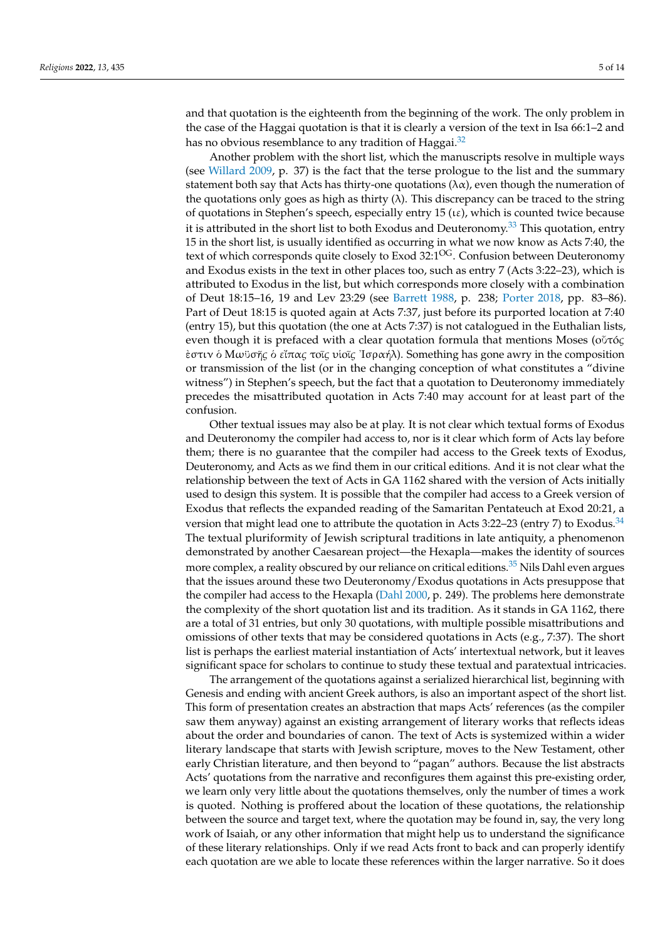<span id="page-4-0"></span>and that quotation is the eighteenth from the beginning of the work. The only problem in the case of the Haggai quotation is that it is clearly a version of the text in Isa 66:1–2 and has no obvious resemblance to any tradition of Haggai.<sup>[32](#page-11-9)</sup>

<span id="page-4-1"></span>Another problem with the short list, which the manuscripts resolve in multiple ways (see [Willard](#page-12-5) [2009,](#page-12-5) p. 37) is the fact that the terse prologue to the list and the summary statement both say that Acts has thirty-one quotations  $(\lambda \alpha)$ , even though the numeration of the quotations only goes as high as thirty  $(\lambda)$ . This discrepancy can be traced to the string of quotations in Stephen's speech, especially entry 15 ( $\iota$ ε), which is counted twice because it is attributed in the short list to both Exodus and Deuteronomy.<sup>[33](#page-11-10)</sup> This quotation, entry 15 in the short list, is usually identified as occurring in what we now know as Acts 7:40, the text of which corresponds quite closely to Exod 32:1<sup>OG</sup>. Confusion between Deuteronomy and Exodus exists in the text in other places too, such as entry 7 (Acts 3:22–23), which is attributed to Exodus in the list, but which corresponds more closely with a combination of Deut 18:15–16, 19 and Lev 23:29 (see [Barrett](#page-12-10) [1988,](#page-12-10) p. 238; [Porter](#page-12-11) [2018,](#page-12-11) pp. 83–86). Part of Deut 18:15 is quoted again at Acts 7:37, just before its purported location at 7:40 (entry 15), but this quotation (the one at Acts 7:37) is not catalogued in the Euthalian lists, even though it is prefaced with a clear quotation formula that mentions Moses (oὗτó*ς* ἐστιν ὁ Mωϋσῆ*ς* ὁ εἴπα*ς* τoῖ*ς* υἱoῖ*ς* ᾿Ισραήλ). Something has gone awry in the composition or transmission of the list (or in the changing conception of what constitutes a "divine witness") in Stephen's speech, but the fact that a quotation to Deuteronomy immediately precedes the misattributed quotation in Acts 7:40 may account for at least part of the confusion.

<span id="page-4-2"></span>Other textual issues may also be at play. It is not clear which textual forms of Exodus and Deuteronomy the compiler had access to, nor is it clear which form of Acts lay before them; there is no guarantee that the compiler had access to the Greek texts of Exodus, Deuteronomy, and Acts as we find them in our critical editions. And it is not clear what the relationship between the text of Acts in GA 1162 shared with the version of Acts initially used to design this system. It is possible that the compiler had access to a Greek version of Exodus that reflects the expanded reading of the Samaritan Pentateuch at Exod 20:21, a version that might lead one to attribute the quotation in Acts 3:22–23 (entry 7) to Exodus.<sup>[34](#page-11-11)</sup> The textual pluriformity of Jewish scriptural traditions in late antiquity, a phenomenon demonstrated by another Caesarean project—the Hexapla—makes the identity of sources more complex, a reality obscured by our reliance on critical editions.<sup>[35](#page-11-12)</sup> Nils Dahl even argues that the issues around these two Deuteronomy/Exodus quotations in Acts presuppose that the compiler had access to the Hexapla [\(Dahl](#page-12-4) [2000,](#page-12-4) p. 249). The problems here demonstrate the complexity of the short quotation list and its tradition. As it stands in GA 1162, there are a total of 31 entries, but only 30 quotations, with multiple possible misattributions and omissions of other texts that may be considered quotations in Acts (e.g., 7:37). The short list is perhaps the earliest material instantiation of Acts' intertextual network, but it leaves significant space for scholars to continue to study these textual and paratextual intricacies.

<span id="page-4-3"></span>The arrangement of the quotations against a serialized hierarchical list, beginning with Genesis and ending with ancient Greek authors, is also an important aspect of the short list. This form of presentation creates an abstraction that maps Acts' references (as the compiler saw them anyway) against an existing arrangement of literary works that reflects ideas about the order and boundaries of canon. The text of Acts is systemized within a wider literary landscape that starts with Jewish scripture, moves to the New Testament, other early Christian literature, and then beyond to "pagan" authors. Because the list abstracts Acts' quotations from the narrative and reconfigures them against this pre-existing order, we learn only very little about the quotations themselves, only the number of times a work is quoted. Nothing is proffered about the location of these quotations, the relationship between the source and target text, where the quotation may be found in, say, the very long work of Isaiah, or any other information that might help us to understand the significance of these literary relationships. Only if we read Acts front to back and can properly identify each quotation are we able to locate these references within the larger narrative. So it does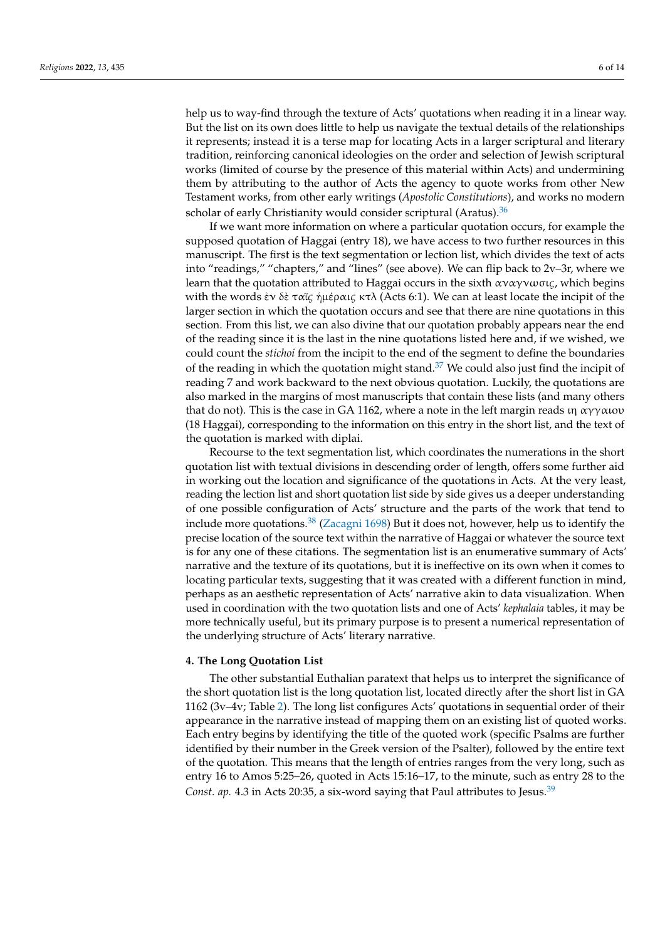help us to way-find through the texture of Acts' quotations when reading it in a linear way. But the list on its own does little to help us navigate the textual details of the relationships it represents; instead it is a terse map for locating Acts in a larger scriptural and literary tradition, reinforcing canonical ideologies on the order and selection of Jewish scriptural works (limited of course by the presence of this material within Acts) and undermining them by attributing to the author of Acts the agency to quote works from other New Testament works, from other early writings (*Apostolic Constitutions*), and works no modern scholar of early Christianity would consider scriptural (Aratus).<sup>[36](#page-11-13)</sup>

<span id="page-5-0"></span>If we want more information on where a particular quotation occurs, for example the supposed quotation of Haggai (entry 18), we have access to two further resources in this manuscript. The first is the text segmentation or lection list, which divides the text of acts into "readings," "chapters," and "lines" (see above). We can flip back to 2v–3r, where we learn that the quotation attributed to Haggai occurs in the sixth αναγνωσι*ς*, which begins with the words ἐν δὲ ταῖ*ς* ἡµέραι*ς* κτλ (Acts 6:1). We can at least locate the incipit of the larger section in which the quotation occurs and see that there are nine quotations in this section. From this list, we can also divine that our quotation probably appears near the end of the reading since it is the last in the nine quotations listed here and, if we wished, we could count the *stichoi* from the incipit to the end of the segment to define the boundaries of the reading in which the quotation might stand.<sup>[37](#page-11-14)</sup> We could also just find the incipit of reading 7 and work backward to the next obvious quotation. Luckily, the quotations are also marked in the margins of most manuscripts that contain these lists (and many others that do not). This is the case in GA 1162, where a note in the left margin reads ιη αγγαιου (18 Haggai), corresponding to the information on this entry in the short list, and the text of the quotation is marked with diplai.

<span id="page-5-2"></span><span id="page-5-1"></span>Recourse to the text segmentation list, which coordinates the numerations in the short quotation list with textual divisions in descending order of length, offers some further aid in working out the location and significance of the quotations in Acts. At the very least, reading the lection list and short quotation list side by side gives us a deeper understanding of one possible configuration of Acts' structure and the parts of the work that tend to include more quotations.<sup>[38](#page-11-15)</sup> [\(Zacagni](#page-12-12) [1698\)](#page-12-12) But it does not, however, help us to identify the precise location of the source text within the narrative of Haggai or whatever the source text is for any one of these citations. The segmentation list is an enumerative summary of Acts' narrative and the texture of its quotations, but it is ineffective on its own when it comes to locating particular texts, suggesting that it was created with a different function in mind, perhaps as an aesthetic representation of Acts' narrative akin to data visualization. When used in coordination with the two quotation lists and one of Acts' *kephalaia* tables, it may be more technically useful, but its primary purpose is to present a numerical representation of the underlying structure of Acts' literary narrative.

#### **4. The Long Quotation List**

<span id="page-5-3"></span>The other substantial Euthalian paratext that helps us to interpret the significance of the short quotation list is the long quotation list, located directly after the short list in GA 1162 (3v–4v; Table [2\)](#page-6-0). The long list configures Acts' quotations in sequential order of their appearance in the narrative instead of mapping them on an existing list of quoted works. Each entry begins by identifying the title of the quoted work (specific Psalms are further identified by their number in the Greek version of the Psalter), followed by the entire text of the quotation. This means that the length of entries ranges from the very long, such as entry 16 to Amos 5:25–26, quoted in Acts 15:16–17, to the minute, such as entry 28 to the *Const. ap.* 4.3 in Acts 20:35, a six-word saying that Paul attributes to Jesus.<sup>[39](#page-11-16)</sup>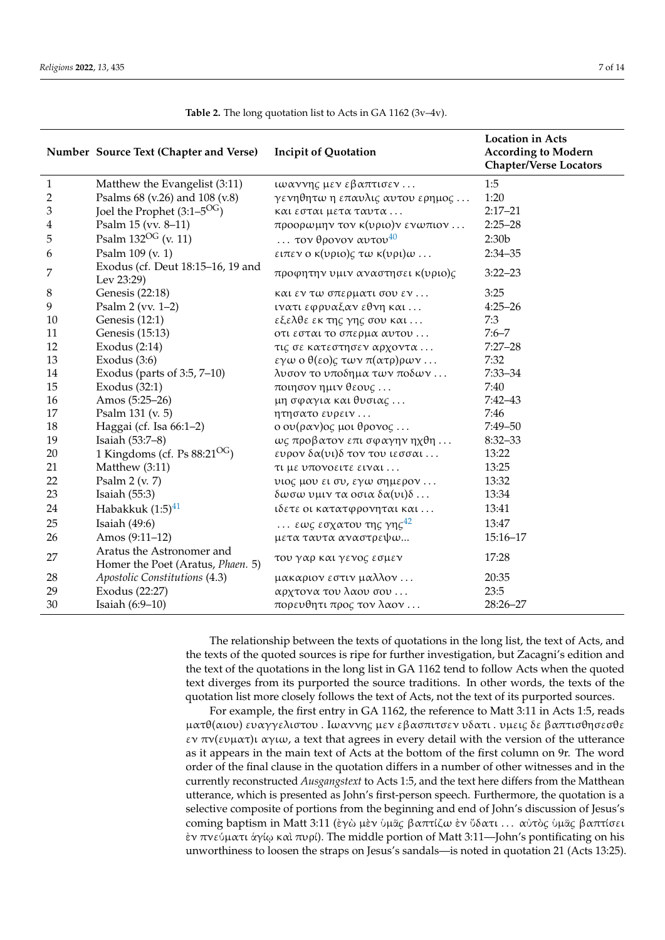|                | Number Source Text (Chapter and Verse)                         | <b>Incipit of Quotation</b>             | <b>Location in Acts</b><br><b>According to Modern</b><br><b>Chapter/Verse Locators</b> |
|----------------|----------------------------------------------------------------|-----------------------------------------|----------------------------------------------------------------------------------------|
| $\mathbf{1}$   | Matthew the Evangelist (3:11)                                  | ιωαννης μεν εβαπτισεν                   | 1:5                                                                                    |
| $\overline{2}$ | Psalms 68 (v.26) and 108 (v.8)                                 | γενηθητω η επαυλις αυτου ερημος         | 1:20                                                                                   |
| 3              | Joel the Prophet $(3:1-5^{OG})$                                | και εσται μετα ταυτα                    | $2:17 - 21$                                                                            |
| 4              | Psalm 15 (vv. 8-11)                                            | προορωμην τον κ(υριο)ν ενωπιον          | $2:25 - 28$                                                                            |
| 5              | Psalm $132^{OG}$ (v. 11)                                       | $\ldots$ τον θρονον αυτου <sup>40</sup> | 2:30b                                                                                  |
| 6              | Psalm 109 (v. 1)                                               | ειπεν ο κ(υριο)ς τω κ(υρι)ω             | $2:34 - 35$                                                                            |
| 7              | Exodus (cf. Deut 18:15-16, 19 and<br>Lev 23:29)                | προφητην υμιν αναστησει κ(υριο)ς        | $3:22 - 23$                                                                            |
| $8\phantom{1}$ | Genesis (22:18)                                                | και εν τω σπερματι σου εν               | 3:25                                                                                   |
| 9              | Psalm $2$ (vv. 1-2)                                            | ινατι εφρυαξαν εθνη και                 | $4:25 - 26$                                                                            |
| 10             | Genesis (12:1)                                                 | εξελθε εκ της γης σου και               | 7:3                                                                                    |
| 11             | Genesis (15:13)                                                | οτι εσται το σπερμα αυτου               | $7:6 - 7$                                                                              |
| 12             | Exodus $(2:14)$                                                | τις σε κατεστησεν αρχοντα               | $7:27 - 28$                                                                            |
| 13             | Exodus $(3:6)$                                                 | εγω ο θ(εο)ς των π(ατρ)ρων              | 7:32                                                                                   |
| 14             | Exodus (parts of $3:5, 7-10$ )                                 | λυσον το υποδημα των ποδων              | $7:33 - 34$                                                                            |
| 15             | Exodus $(32:1)$                                                | ποιησον ημιν θεους                      | 7:40                                                                                   |
| 16             | Amos (5:25-26)                                                 | μη σφαγια και θυσιας                    | $7:42 - 43$                                                                            |
| 17             | Psalm 131 (v. 5)                                               | ητησατο ευρειν                          | 7:46                                                                                   |
| 18             | Haggai (cf. Isa 66:1-2)                                        | ο ου (ραν) ος μοι θρονος                | $7:49 - 50$                                                                            |
| 19             | Isaiah (53:7–8)                                                | ως προβατον επι σφαγην ηχθη             | $8:32 - 33$                                                                            |
| 20             | 1 Kingdoms (cf. Ps $88:21^{OG}$ )                              | ευρον δα(υι) δτον του ιεσσαι            | 13:22                                                                                  |
| 21             | Matthew (3:11)                                                 | τι με υπονοειτε ειναι                   | 13:25                                                                                  |
| 22             | Psalm $2 (v. 7)$                                               | υιος μου ει συ, εγω σημερον             | 13:32                                                                                  |
| 23             | Isaiah $(55:3)$                                                | $\delta$ ωσω υμιν τα οσια δα(υι)δ       | 13:34                                                                                  |
| 24             | Habakkuk $(1:5)^{41}$                                          | ιδετε οι κατατφρονηται και              | 13:41                                                                                  |
| 25             | Isaiah $(49:6)$                                                | εως εσχατου της γης <sup>42</sup>       | 13:47                                                                                  |
| 26             | Amos (9:11-12)                                                 | μετα ταυτα αναστρεψω                    | $15:16 - 17$                                                                           |
| 27             | Aratus the Astronomer and<br>Homer the Poet (Aratus, Phaen. 5) | του γαρ και γενος εσμεν                 | 17:28                                                                                  |
| 28             | Apostolic Constitutions (4.3)                                  | μακαριον εστιν μαλλον                   | 20:35                                                                                  |
| 29             | Exodus (22:27)                                                 | αρχτονα του λαου σου                    | 23:5                                                                                   |
| 30             | Isaiah (6:9-10)                                                | πορευθητι προς τον λαον                 | 28:26-27                                                                               |

<span id="page-6-1"></span><span id="page-6-0"></span>**Table 2.** The long quotation list to Acts in GA 1162 (3v–4v).

<span id="page-6-3"></span><span id="page-6-2"></span>The relationship between the texts of quotations in the long list, the text of Acts, and the texts of the quoted sources is ripe for further investigation, but Zacagni's edition and the text of the quotations in the long list in GA 1162 tend to follow Acts when the quoted text diverges from its purported the source traditions. In other words, the texts of the quotation list more closely follows the text of Acts, not the text of its purported sources.

For example, the first entry in GA 1162, the reference to Matt 3:11 in Acts 1:5, reads µατθ(αιoυ) ευαγγελιστoυ . Iωαννη*ς* µεν εβασπιτσεν υδατι . υµει*ς* δε βαπτισθησεσθε εν πν(ευµατ)ι αγιω, a text that agrees in every detail with the version of the utterance as it appears in the main text of Acts at the bottom of the first column on 9r. The word order of the final clause in the quotation differs in a number of other witnesses and in the currently reconstructed *Ausgangstext* to Acts 1:5, and the text here differs from the Matthean utterance, which is presented as John's first-person speech. Furthermore, the quotation is a selective composite of portions from the beginning and end of John's discussion of Jesus's coming baptism in Matt 3:11 (ἐγὼ µὲν ὑµᾶ*ς* βαπτίζω ἐν ὕδατι . . . αὐτὸ*ς* ὑµᾶ*ς* βαπτίσει ἐν πνεύµατι ἁγίῳ καὶ πυρί). The middle portion of Matt 3:11—John's pontificating on his unworthiness to loosen the straps on Jesus's sandals—is noted in quotation 21 (Acts 13:25).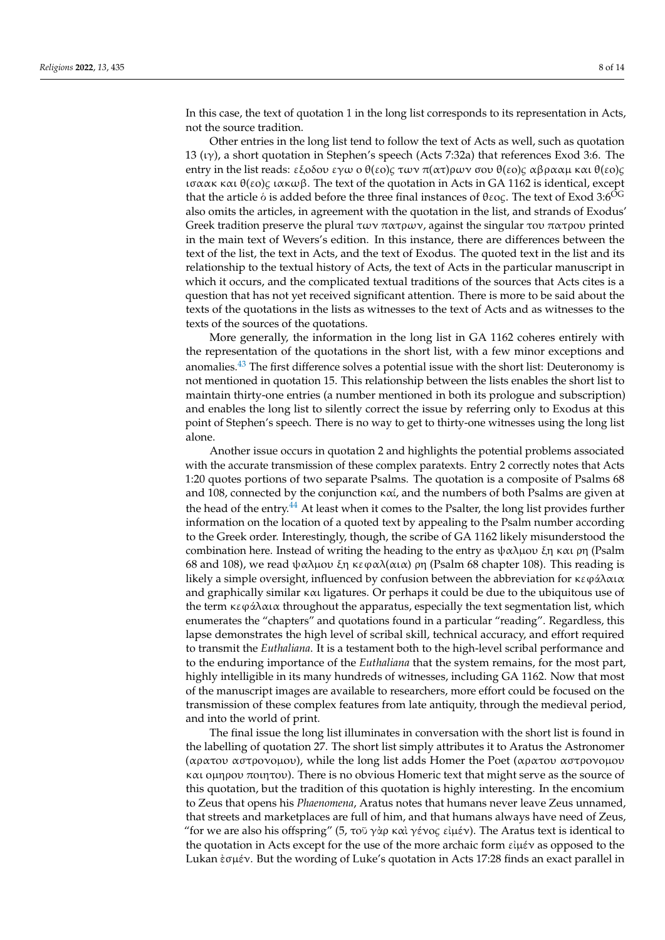In this case, the text of quotation 1 in the long list corresponds to its representation in Acts, not the source tradition.

Other entries in the long list tend to follow the text of Acts as well, such as quotation 13 ( $(v)$ ), a short quotation in Stephen's speech (Acts 7:32a) that references Exod 3:6. The entry in the list reads: εξoδoυ εγω o θ(εo)*ς* των π(ατ)ρων σoυ θ(εo)*ς* αβρααµ και θ(εo)*ς* ισαακ και θ(εo)*ς* ιακωβ. The text of the quotation in Acts in GA 1162 is identical, except that the article ὁ is added before the three final instances of θεo*ς*. The text of Exod 3:6OG also omits the articles, in agreement with the quotation in the list, and strands of Exodus' Greek tradition preserve the plural των πατρων, against the singular του πατρου printed in the main text of Wevers's edition. In this instance, there are differences between the text of the list, the text in Acts, and the text of Exodus. The quoted text in the list and its relationship to the textual history of Acts, the text of Acts in the particular manuscript in which it occurs, and the complicated textual traditions of the sources that Acts cites is a question that has not yet received significant attention. There is more to be said about the texts of the quotations in the lists as witnesses to the text of Acts and as witnesses to the texts of the sources of the quotations.

<span id="page-7-0"></span>More generally, the information in the long list in GA 1162 coheres entirely with the representation of the quotations in the short list, with a few minor exceptions and anomalies.<sup>[43](#page-11-20)</sup> The first difference solves a potential issue with the short list: Deuteronomy is not mentioned in quotation 15. This relationship between the lists enables the short list to maintain thirty-one entries (a number mentioned in both its prologue and subscription) and enables the long list to silently correct the issue by referring only to Exodus at this point of Stephen's speech. There is no way to get to thirty-one witnesses using the long list alone.

<span id="page-7-1"></span>Another issue occurs in quotation 2 and highlights the potential problems associated with the accurate transmission of these complex paratexts. Entry 2 correctly notes that Acts 1:20 quotes portions of two separate Psalms. The quotation is a composite of Psalms 68 and 108, connected by the conjunction καί, and the numbers of both Psalms are given at the head of the entry.<sup>[44](#page-11-21)</sup> At least when it comes to the Psalter, the long list provides further information on the location of a quoted text by appealing to the Psalm number according to the Greek order. Interestingly, though, the scribe of GA 1162 likely misunderstood the combination here. Instead of writing the heading to the entry as ψαλμου ξη και ρη (Psalm 68 and 108), we read ψαλμου ξη κεφαλ(αια) ρη (Psalm 68 chapter 108). This reading is likely a simple oversight, influenced by confusion between the abbreviation for κεφάλαια and graphically similar και ligatures. Or perhaps it could be due to the ubiquitous use of the term  $\kappa \epsilon \varphi \varphi \lambda \alpha \iota \alpha$  throughout the apparatus, especially the text segmentation list, which enumerates the "chapters" and quotations found in a particular "reading". Regardless, this lapse demonstrates the high level of scribal skill, technical accuracy, and effort required to transmit the *Euthaliana*. It is a testament both to the high-level scribal performance and to the enduring importance of the *Euthaliana* that the system remains, for the most part, highly intelligible in its many hundreds of witnesses, including GA 1162. Now that most of the manuscript images are available to researchers, more effort could be focused on the transmission of these complex features from late antiquity, through the medieval period, and into the world of print.

The final issue the long list illuminates in conversation with the short list is found in the labelling of quotation 27. The short list simply attributes it to Aratus the Astronomer (αρατoυ αστρoνoµoυ), while the long list adds Homer the Poet (αρατoυ αστρoνoµoυ και oµηρoυ πoιητoυ). There is no obvious Homeric text that might serve as the source of this quotation, but the tradition of this quotation is highly interesting. In the encomium to Zeus that opens his *Phaenomena*, Aratus notes that humans never leave Zeus unnamed, that streets and marketplaces are full of him, and that humans always have need of Zeus, "for we are also his offspring" (5, τoῦ γὰρ καὶ γένo*ς* εἰµέν). The Aratus text is identical to the quotation in Acts except for the use of the more archaic form  $\epsilon\hat{\mu}\epsilon\hat{\nu}$  as opposed to the Lukan ἐσµέν. But the wording of Luke's quotation in Acts 17:28 finds an exact parallel in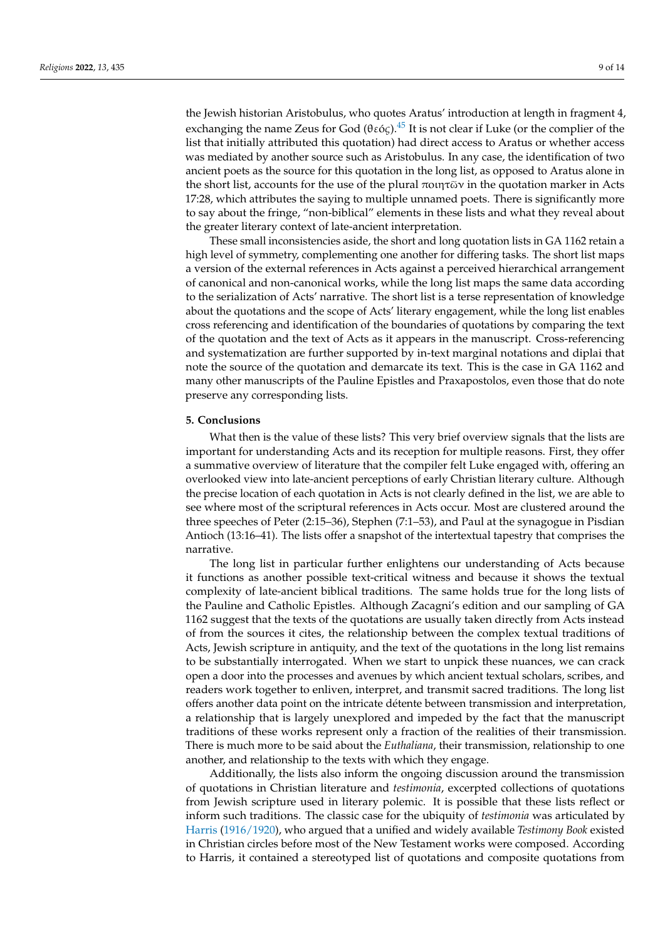<span id="page-8-0"></span>the Jewish historian Aristobulus, who quotes Aratus' introduction at length in fragment 4, exchanging the name Zeus for God (θεó*ς*).[45](#page-11-22) It is not clear if Luke (or the complier of the list that initially attributed this quotation) had direct access to Aratus or whether access was mediated by another source such as Aristobulus. In any case, the identification of two ancient poets as the source for this quotation in the long list, as opposed to Aratus alone in the short list, accounts for the use of the plural πoιητῶν in the quotation marker in Acts 17:28, which attributes the saying to multiple unnamed poets. There is significantly more to say about the fringe, "non-biblical" elements in these lists and what they reveal about the greater literary context of late-ancient interpretation.

These small inconsistencies aside, the short and long quotation lists in GA 1162 retain a high level of symmetry, complementing one another for differing tasks. The short list maps a version of the external references in Acts against a perceived hierarchical arrangement of canonical and non-canonical works, while the long list maps the same data according to the serialization of Acts' narrative. The short list is a terse representation of knowledge about the quotations and the scope of Acts' literary engagement, while the long list enables cross referencing and identification of the boundaries of quotations by comparing the text of the quotation and the text of Acts as it appears in the manuscript. Cross-referencing and systematization are further supported by in-text marginal notations and diplai that note the source of the quotation and demarcate its text. This is the case in GA 1162 and many other manuscripts of the Pauline Epistles and Praxapostolos, even those that do note preserve any corresponding lists.

#### **5. Conclusions**

What then is the value of these lists? This very brief overview signals that the lists are important for understanding Acts and its reception for multiple reasons. First, they offer a summative overview of literature that the compiler felt Luke engaged with, offering an overlooked view into late-ancient perceptions of early Christian literary culture. Although the precise location of each quotation in Acts is not clearly defined in the list, we are able to see where most of the scriptural references in Acts occur. Most are clustered around the three speeches of Peter (2:15–36), Stephen (7:1–53), and Paul at the synagogue in Pisdian Antioch (13:16–41). The lists offer a snapshot of the intertextual tapestry that comprises the narrative.

The long list in particular further enlightens our understanding of Acts because it functions as another possible text-critical witness and because it shows the textual complexity of late-ancient biblical traditions. The same holds true for the long lists of the Pauline and Catholic Epistles. Although Zacagni's edition and our sampling of GA 1162 suggest that the texts of the quotations are usually taken directly from Acts instead of from the sources it cites, the relationship between the complex textual traditions of Acts, Jewish scripture in antiquity, and the text of the quotations in the long list remains to be substantially interrogated. When we start to unpick these nuances, we can crack open a door into the processes and avenues by which ancient textual scholars, scribes, and readers work together to enliven, interpret, and transmit sacred traditions. The long list offers another data point on the intricate détente between transmission and interpretation, a relationship that is largely unexplored and impeded by the fact that the manuscript traditions of these works represent only a fraction of the realities of their transmission. There is much more to be said about the *Euthaliana*, their transmission, relationship to one another, and relationship to the texts with which they engage.

Additionally, the lists also inform the ongoing discussion around the transmission of quotations in Christian literature and *testimonia*, excerpted collections of quotations from Jewish scripture used in literary polemic. It is possible that these lists reflect or inform such traditions. The classic case for the ubiquity of *testimonia* was articulated by [Harris](#page-12-13) [\(1916/1920\)](#page-12-13), who argued that a unified and widely available *Testimony Book* existed in Christian circles before most of the New Testament works were composed. According to Harris, it contained a stereotyped list of quotations and composite quotations from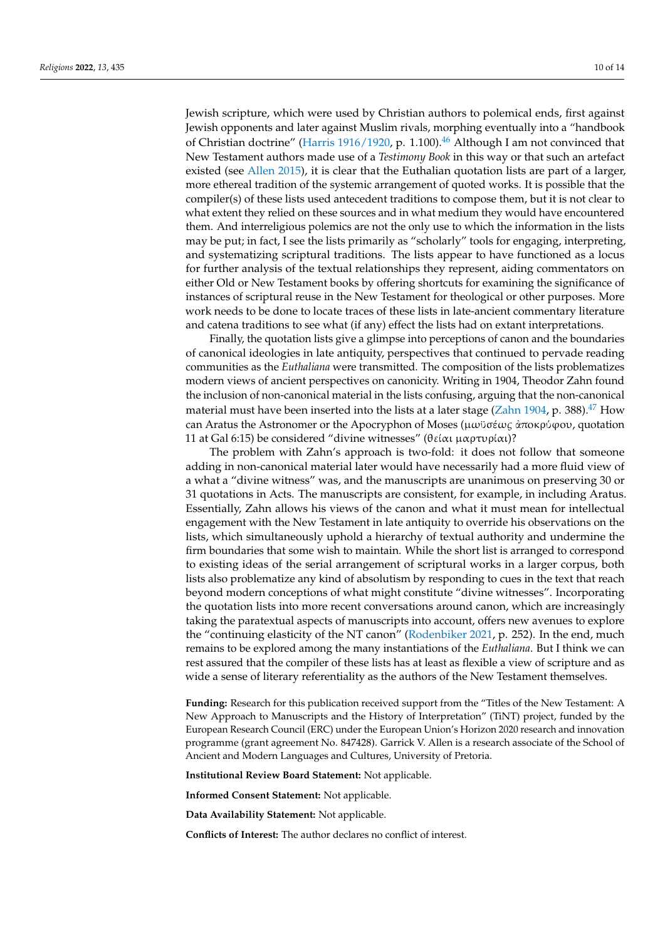<span id="page-9-0"></span>Jewish scripture, which were used by Christian authors to polemical ends, first against Jewish opponents and later against Muslim rivals, morphing eventually into a "handbook of Christian doctrine" [\(Harris](#page-12-13) [1916/1920,](#page-12-13) p. 1.100).<sup>[46](#page-11-23)</sup> Although I am not convinced that New Testament authors made use of a *Testimony Book* in this way or that such an artefact existed (see [Allen](#page-11-24) [2015\)](#page-11-24), it is clear that the Euthalian quotation lists are part of a larger, more ethereal tradition of the systemic arrangement of quoted works. It is possible that the compiler(s) of these lists used antecedent traditions to compose them, but it is not clear to what extent they relied on these sources and in what medium they would have encountered them. And interreligious polemics are not the only use to which the information in the lists may be put; in fact, I see the lists primarily as "scholarly" tools for engaging, interpreting, and systematizing scriptural traditions. The lists appear to have functioned as a locus for further analysis of the textual relationships they represent, aiding commentators on either Old or New Testament books by offering shortcuts for examining the significance of instances of scriptural reuse in the New Testament for theological or other purposes. More work needs to be done to locate traces of these lists in late-ancient commentary literature and catena traditions to see what (if any) effect the lists had on extant interpretations.

Finally, the quotation lists give a glimpse into perceptions of canon and the boundaries of canonical ideologies in late antiquity, perspectives that continued to pervade reading communities as the *Euthaliana* were transmitted. The composition of the lists problematizes modern views of ancient perspectives on canonicity. Writing in 1904, Theodor Zahn found the inclusion of non-canonical material in the lists confusing, arguing that the non-canonical material must have been inserted into the lists at a later stage [\(Zahn](#page-12-14) [1904,](#page-12-14) p. 388).<sup>[47](#page-11-25)</sup> How can Aratus the Astronomer or the Apocryphon of Moses (µωϋσέω*ς* ἀπoκρύϕoυ, quotation 11 at Gal 6:15) be considered "divine witnesses" (θείαι µαρτυρίαι)?

<span id="page-9-1"></span>The problem with Zahn's approach is two-fold: it does not follow that someone adding in non-canonical material later would have necessarily had a more fluid view of a what a "divine witness" was, and the manuscripts are unanimous on preserving 30 or 31 quotations in Acts. The manuscripts are consistent, for example, in including Aratus. Essentially, Zahn allows his views of the canon and what it must mean for intellectual engagement with the New Testament in late antiquity to override his observations on the lists, which simultaneously uphold a hierarchy of textual authority and undermine the firm boundaries that some wish to maintain. While the short list is arranged to correspond to existing ideas of the serial arrangement of scriptural works in a larger corpus, both lists also problematize any kind of absolutism by responding to cues in the text that reach beyond modern conceptions of what might constitute "divine witnesses". Incorporating the quotation lists into more recent conversations around canon, which are increasingly taking the paratextual aspects of manuscripts into account, offers new avenues to explore the "continuing elasticity of the NT canon" [\(Rodenbiker](#page-12-15) [2021,](#page-12-15) p. 252). In the end, much remains to be explored among the many instantiations of the *Euthaliana*. But I think we can rest assured that the compiler of these lists has at least as flexible a view of scripture and as wide a sense of literary referentiality as the authors of the New Testament themselves.

**Funding:** Research for this publication received support from the "Titles of the New Testament: A New Approach to Manuscripts and the History of Interpretation" (TiNT) project, funded by the European Research Council (ERC) under the European Union's Horizon 2020 research and innovation programme (grant agreement No. 847428). Garrick V. Allen is a research associate of the School of Ancient and Modern Languages and Cultures, University of Pretoria.

**Institutional Review Board Statement:** Not applicable.

**Informed Consent Statement:** Not applicable.

**Data Availability Statement:** Not applicable.

**Conflicts of Interest:** The author declares no conflict of interest.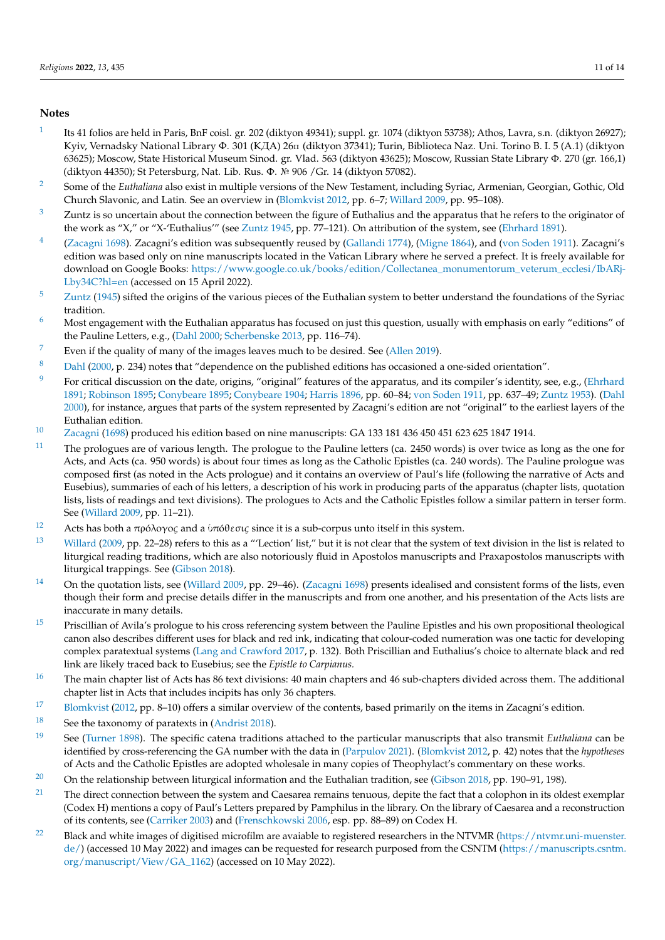#### **Notes**

- <span id="page-10-0"></span>[1](#page-0-0) Its 41 folios are held in Paris, BnF coisl. gr. 202 (diktyon 49341); suppl. gr. 1074 (diktyon 53738); Athos, Lavra, s.n. (diktyon 26927); Kyiv, Vernadsky National Library Φ. 301 (KДA) 26п (diktyon 37341); Turin, Biblioteca Naz. Uni. Torino B. I. 5 (A.1) (diktyon 63625); Moscow, State Historical Museum Sinod. gr. Vlad. 563 (diktyon 43625); Moscow, Russian State Library Φ. 270 (gr. 166,1) (diktyon 44350); St Petersburg, Nat. Lib. Rus. Φ. № 906 /Gr. 14 (diktyon 57082).
- <span id="page-10-1"></span><sup>[2](#page-0-1)</sup> Some of the *Euthaliana* also exist in multiple versions of the New Testament, including Syriac, Armenian, Georgian, Gothic, Old Church Slavonic, and Latin. See an overview in [\(Blomkvist](#page-12-6) [2012,](#page-12-6) pp. 6–7; [Willard](#page-12-5) [2009,](#page-12-5) pp. 95–108).
- <span id="page-10-2"></span> $3$  Zuntz is so uncertain about the connection between the figure of Euthalius and the apparatus that he refers to the originator of the work as "X," or "X-'Euthalius'" (see [Zuntz](#page-13-0) [1945,](#page-13-0) pp. 77–121). On attribution of the system, see [\(Ehrhard](#page-12-16) [1891\)](#page-12-16).
- <span id="page-10-3"></span>[4](#page-1-1) [\(Zacagni](#page-12-12) [1698\)](#page-12-12). Zacagni's edition was subsequently reused by [\(Gallandi](#page-12-17) [1774\)](#page-12-17), [\(Migne](#page-12-18) [1864\)](#page-12-18), and [\(von Soden](#page-12-19) [1911\)](#page-12-19). Zacagni's edition was based only on nine manuscripts located in the Vatican Library where he served a prefect. It is freely available for download on Google Books: [https://www.google.co.uk/books/edition/Collectanea\\_monumentorum\\_veterum\\_ecclesi/IbARj-](https://www.google.co.uk/books/edition/Collectanea_monumentorum_veterum_ecclesi/IbARj-Lby34C?hl=en)[Lby34C?hl=en](https://www.google.co.uk/books/edition/Collectanea_monumentorum_veterum_ecclesi/IbARj-Lby34C?hl=en) (accessed on 15 April 2022).
- <span id="page-10-4"></span>[5](#page-1-2) [Zuntz](#page-13-0) [\(1945\)](#page-13-0) sifted the origins of the various pieces of the Euthalian system to better understand the foundations of the Syriac tradition.
- <span id="page-10-5"></span> $6$  Most engagement with the Euthalian apparatus has focused on just this question, usually with emphasis on early "editions" of the Pauline Letters, e.g., [\(Dahl](#page-12-4) [2000;](#page-12-4) [Scherbenske](#page-12-7) [2013,](#page-12-7) pp. 116–74).
- <span id="page-10-6"></span><sup>[7](#page-1-4)</sup> Even if the quality of many of the images leaves much to be desired. See [\(Allen](#page-11-26) [2019\)](#page-11-26).
- <span id="page-10-7"></span>[8](#page-1-5) [Dahl](#page-12-4) [\(2000,](#page-12-4) p. 234) notes that "dependence on the published editions has occasioned a one-sided orientation".
- <span id="page-10-8"></span><sup>[9](#page-1-6)</sup> For critical discussion on the date, origins, "original" features of the apparatus, and its compiler's identity, see, e.g., [\(Ehrhard](#page-12-16) [1891;](#page-12-16) [Robinson](#page-12-20) [1895;](#page-12-20) [Conybeare](#page-12-21) [1895;](#page-12-21) [Conybeare](#page-12-22) [1904;](#page-12-22) [Harris](#page-12-23) [1896,](#page-12-23) pp. 60–84; [von Soden](#page-12-19) [1911,](#page-12-19) pp. 637–49; [Zuntz](#page-13-1) [1953\)](#page-13-1). [\(Dahl](#page-12-4) [2000\)](#page-12-4), for instance, argues that parts of the system represented by Zacagni's edition are not "original" to the earliest layers of the Euthalian edition.
- <span id="page-10-9"></span>[10](#page-2-0) [Zacagni](#page-12-12) [\(1698\)](#page-12-12) produced his edition based on nine manuscripts: GA 133 181 436 450 451 623 625 1847 1914.
- <span id="page-10-10"></span> $11$  The prologues are of various length. The prologue to the Pauline letters (ca. 2450 words) is over twice as long as the one for Acts, and Acts (ca. 950 words) is about four times as long as the Catholic Epistles (ca. 240 words). The Pauline prologue was composed first (as noted in the Acts prologue) and it contains an overview of Paul's life (following the narrative of Acts and Eusebius), summaries of each of his letters, a description of his work in producing parts of the apparatus (chapter lists, quotation lists, lists of readings and text divisions). The prologues to Acts and the Catholic Epistles follow a similar pattern in terser form. See [\(Willard](#page-12-5) [2009,](#page-12-5) pp. 11–21).
- <span id="page-10-11"></span>[12](#page-2-2) Acts has both a πρóλoγo*ς* and a ὑπóθεσι*ς* since it is a sub-corpus unto itself in this system.
- <span id="page-10-12"></span><sup>[13](#page-2-3)</sup> [Willard](#page-12-5) [\(2009,](#page-12-5) pp. 22–28) refers to this as a "'Lection' list," but it is not clear that the system of text division in the list is related to liturgical reading traditions, which are also notoriously fluid in Apostolos manuscripts and Praxapostolos manuscripts with liturgical trappings. See [\(Gibson](#page-12-24) [2018\)](#page-12-24).
- <span id="page-10-13"></span><sup>[14](#page-2-4)</sup> On the quotation lists, see [\(Willard](#page-12-5) [2009,](#page-12-5) pp. 29–46). [\(Zacagni](#page-12-12) [1698\)](#page-12-12) presents idealised and consistent forms of the lists, even though their form and precise details differ in the manuscripts and from one another, and his presentation of the Acts lists are inaccurate in many details.
- <span id="page-10-14"></span><sup>[15](#page-2-5)</sup> Priscillian of Avila's prologue to his cross referencing system between the Pauline Epistles and his own propositional theological canon also describes different uses for black and red ink, indicating that colour-coded numeration was one tactic for developing complex paratextual systems [\(Lang and Crawford](#page-12-1) [2017,](#page-12-1) p. 132). Both Priscillian and Euthalius's choice to alternate black and red link are likely traced back to Eusebius; see the *Epistle to Carpianus.*
- <span id="page-10-15"></span> $16$  The main chapter list of Acts has 86 text divisions: 40 main chapters and 46 sub-chapters divided across them. The additional chapter list in Acts that includes incipits has only 36 chapters.
- <span id="page-10-16"></span><sup>[17](#page-2-7)</sup> [Blomkvist](#page-12-6) [\(2012,](#page-12-6) pp. 8–10) offers a similar overview of the contents, based primarily on the items in Zacagni's edition.
- <span id="page-10-17"></span>[18](#page-2-8) See the taxonomy of paratexts in [\(Andrist](#page-12-25) [2018\)](#page-12-25).
- <span id="page-10-18"></span>[19](#page-2-9) See [\(Turner](#page-12-26) [1898\)](#page-12-26). The specific catena traditions attached to the particular manuscripts that also transmit *Euthaliana* can be identified by cross-referencing the GA number with the data in [\(Parpulov](#page-12-9) [2021\)](#page-12-9). [\(Blomkvist](#page-12-6) [2012,](#page-12-6) p. 42) notes that the *hypotheses* of Acts and the Catholic Epistles are adopted wholesale in many copies of Theophylact's commentary on these works.
- <span id="page-10-19"></span><sup>[20](#page-2-10)</sup> On the relationship between liturgical information and the Euthalian tradition, see [\(Gibson](#page-12-24) [2018,](#page-12-24) pp. 190–91, 198).
- <span id="page-10-20"></span> $21$  The direct connection between the system and Caesarea remains tenuous, depite the fact that a colophon in its oldest exemplar (Codex H) mentions a copy of Paul's Letters prepared by Pamphilus in the library. On the library of Caesarea and a reconstruction of its contents, see [\(Carriker](#page-12-27) [2003\)](#page-12-27) and [\(Frenschkowski](#page-12-28) [2006,](#page-12-28) esp. pp. 88–89) on Codex H.
- <span id="page-10-21"></span> $22$  Black and white images of digitised microfilm are avaiable to registered researchers in the NTVMR [\(https://ntvmr.uni-muenster.](https://ntvmr.uni-muenster.de/) [de/\)](https://ntvmr.uni-muenster.de/) (accessed 10 May 2022) and images can be requested for research purposed from the CSNTM [\(https://manuscripts.csntm.](https://manuscripts.csntm.org/manuscript/View/GA_1162) [org/manuscript/View/GA\\_1162\)](https://manuscripts.csntm.org/manuscript/View/GA_1162) (accessed on 10 May 2022).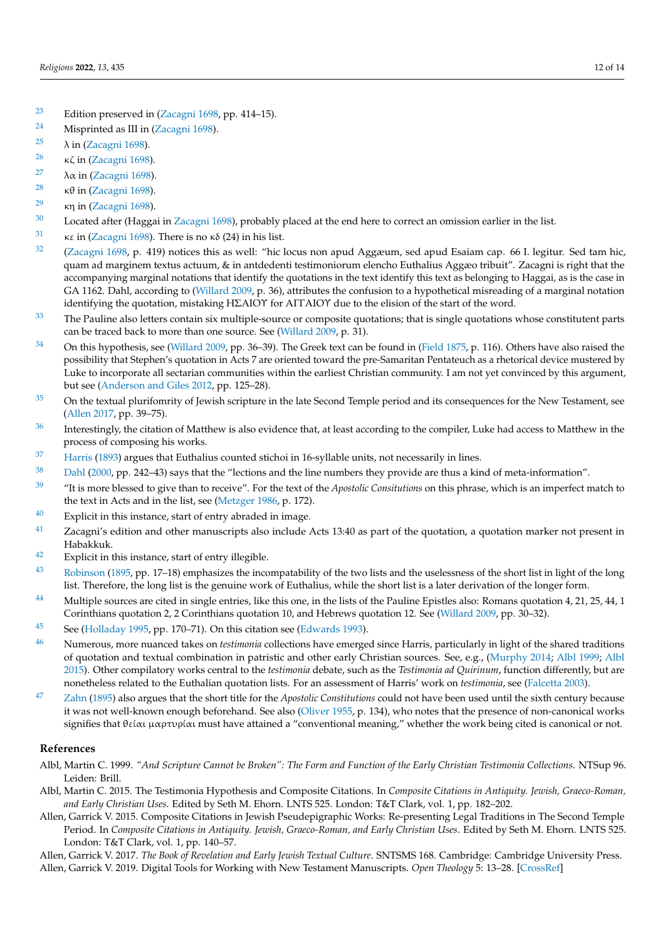- <span id="page-11-0"></span>[23](#page-3-3) Edition preserved in [\(Zacagni](#page-12-12) [1698,](#page-12-12) pp. 414–15).
- <span id="page-11-1"></span>[24](#page-3-4) Misprinted as III in [\(Zacagni](#page-12-12) [1698\)](#page-12-12).
- <span id="page-11-2"></span><sup>[25](#page-3-5)</sup>  $\lambda$  in [\(Zacagni](#page-12-12) [1698\)](#page-12-12).
- <span id="page-11-3"></span><sup>[26](#page-3-6)</sup> κζ in [\(Zacagni](#page-12-12) [1698\)](#page-12-12).
- <span id="page-11-4"></span><sup>[27](#page-3-7)</sup>  $\lambda \alpha$  in [\(Zacagni](#page-12-12) [1698\)](#page-12-12).
- <span id="page-11-5"></span><sup>[28](#page-3-8)</sup> κθ in [\(Zacagni](#page-12-12) [1698\)](#page-12-12).
- <span id="page-11-6"></span><sup>[29](#page-3-9)</sup> κη in [\(Zacagni](#page-12-12) [1698\)](#page-12-12).
- <span id="page-11-7"></span><sup>[30](#page-3-10)</sup> Located after (Haggai in [Zacagni](#page-12-12) [1698\)](#page-12-12), probably placed at the end here to correct an omission earlier in the list.
- <span id="page-11-8"></span>[31](#page-3-11) **κε in [\(Zacagni](#page-12-12) [1698\)](#page-12-12).** There is no  $\kappa \delta$  (24) in his list.
- <span id="page-11-9"></span> $32$  [\(Zacagni](#page-12-12) [1698,](#page-12-12) p. 419) notices this as well: "hic locus non apud Aggæum, sed apud Esaiam cap. 66 I. legitur. Sed tam hic, quam ad marginem textus actuum, & in antdedenti testimoniorum elencho Euthalius Aggæo tribuit". Zacagni is right that the accompanying marginal notations that identify the quotations in the text identify this text as belonging to Haggai, as is the case in GA 1162. Dahl, according to [\(Willard](#page-12-5) [2009,](#page-12-5) p. 36), attributes the confusion to a hypothetical misreading of a marginal notation identifying the quotation, mistaking HΣAIOΥ for AΓΓAIOΥ due to the elision of the start of the word.
- <span id="page-11-10"></span><sup>[33](#page-4-1)</sup> The Pauline also letters contain six multiple-source or composite quotations; that is single quotations whose constitutent parts can be traced back to more than one source. See [\(Willard](#page-12-5) [2009,](#page-12-5) p. 31).
- <span id="page-11-11"></span><sup>[34](#page-4-2)</sup> On this hypothesis, see [\(Willard](#page-12-5) [2009,](#page-12-5) pp. 36–39). The Greek text can be found in [\(Field](#page-12-29) [1875,](#page-12-29) p. 116). Others have also raised the possibility that Stephen's quotation in Acts 7 are oriented toward the pre-Samaritan Pentateuch as a rhetorical device mustered by Luke to incorporate all sectarian communities within the earliest Christian community. I am not yet convinced by this argument, but see [\(Anderson and Giles](#page-12-30) [2012,](#page-12-30) pp. 125–28).
- <span id="page-11-12"></span><sup>[35](#page-4-3)</sup> On the textual plurifomrity of Jewish scripture in the late Second Temple period and its consequences for the New Testament, see [\(Allen](#page-11-27) [2017,](#page-11-27) pp. 39–75).
- <span id="page-11-13"></span><sup>[36](#page-5-0)</sup> Interestingly, the citation of Matthew is also evidence that, at least according to the compiler, Luke had access to Matthew in the process of composing his works.
- <span id="page-11-14"></span><sup>[37](#page-5-1)</sup> [Harris](#page-12-31) [\(1893\)](#page-12-31) argues that Euthalius counted stichoi in 16-syllable units, not necessarily in lines.
- <span id="page-11-15"></span>[38](#page-5-2) [Dahl](#page-12-4) [\(2000,](#page-12-4) pp. 242–43) says that the "lections and the line numbers they provide are thus a kind of meta-information".
- <span id="page-11-16"></span><sup>[39](#page-5-3)</sup> "It is more blessed to give than to receive". For the text of the *Apostolic Consitutions* on this phrase, which is an imperfect match to the text in Acts and in the list, see [\(Metzger](#page-12-32) [1986,](#page-12-32) p. 172).
- <span id="page-11-17"></span> $40$  Explicit in this instance, start of entry abraded in image.
- <span id="page-11-18"></span> $41$  Zacagni's edition and other manuscripts also include Acts 13:40 as part of the quotation, a quotation marker not present in Habakkuk.
- <span id="page-11-19"></span>[42](#page-6-3) Explicit in this instance, start of entry illegible.
- <span id="page-11-20"></span>[43](#page-7-0) [Robinson](#page-12-20) [\(1895,](#page-12-20) pp. 17–18) emphasizes the incompatability of the two lists and the uselessness of the short list in light of the long list. Therefore, the long list is the genuine work of Euthalius, while the short list is a later derivation of the longer form.
- <span id="page-11-21"></span><sup>[44](#page-7-1)</sup> Multiple sources are cited in single entries, like this one, in the lists of the Pauline Epistles also: Romans quotation 4, 21, 25, 44, 1 Corinthians quotation 2, 2 Corinthians quotation 10, and Hebrews quotation 12. See [\(Willard](#page-12-5) [2009,](#page-12-5) pp. 30–32).
- <span id="page-11-22"></span>[45](#page-8-0) See [\(Holladay](#page-12-33) [1995,](#page-12-33) pp. 170–71). On this citation see [\(Edwards](#page-12-34) [1993\)](#page-12-34).
- <span id="page-11-23"></span><sup>[46](#page-9-0)</sup> Numerous, more nuanced takes on *testimonia* collections have emerged since Harris, particularly in light of the shared traditions of quotation and textual combination in patristic and other early Christian sources. See, e.g., [\(Murphy](#page-12-35) [2014;](#page-12-35) [Albl](#page-11-28) [1999;](#page-11-28) [Albl](#page-11-29) [2015\)](#page-11-29). Other compilatory works central to the *testimonia* debate, such as the *Testimonia ad Quirinum*, function differently, but are nonetheless related to the Euthalian quotation lists. For an assessment of Harris' work on *testimonia*, see [\(Falcetta](#page-12-36) [2003\)](#page-12-36).
- <span id="page-11-25"></span>[47](#page-9-1) [Zahn](#page-12-37) [\(1895\)](#page-12-37) also argues that the short title for the *Apostolic Constitutions* could not have been used until the sixth century because it was not well-known enough beforehand. See also [\(Oliver](#page-12-38) [1955,](#page-12-38) p. 134), who notes that the presence of non-canonical works signifies that θείαι µαρτυρίαι must have attained a "conventional meaning," whether the work being cited is canonical or not.

### **References**

- <span id="page-11-28"></span>Albl, Martin C. 1999. *"And Scripture Cannot be Broken": The Form and Function of the Early Christian Testimonia Collections*. NTSup 96. Leiden: Brill.
- <span id="page-11-29"></span>Albl, Martin C. 2015. The Testimonia Hypothesis and Composite Citations. In *Composite Citations in Antiquity. Jewish, Graeco-Roman, and Early Christian Uses*. Edited by Seth M. Ehorn. LNTS 525. London: T&T Clark, vol. 1, pp. 182–202.
- <span id="page-11-24"></span>Allen, Garrick V. 2015. Composite Citations in Jewish Pseudepigraphic Works: Re-presenting Legal Traditions in The Second Temple Period. In *Composite Citations in Antiquity. Jewish, Graeco-Roman, and Early Christian Uses*. Edited by Seth M. Ehorn. LNTS 525. London: T&T Clark, vol. 1, pp. 140–57.

<span id="page-11-27"></span><span id="page-11-26"></span>Allen, Garrick V. 2017. *The Book of Revelation and Early Jewish Textual Culture*. SNTSMS 168. Cambridge: Cambridge University Press. Allen, Garrick V. 2019. Digital Tools for Working with New Testament Manuscripts. *Open Theology* 5: 13–28. [\[CrossRef\]](http://doi.org/10.1515/opth-2019-0002)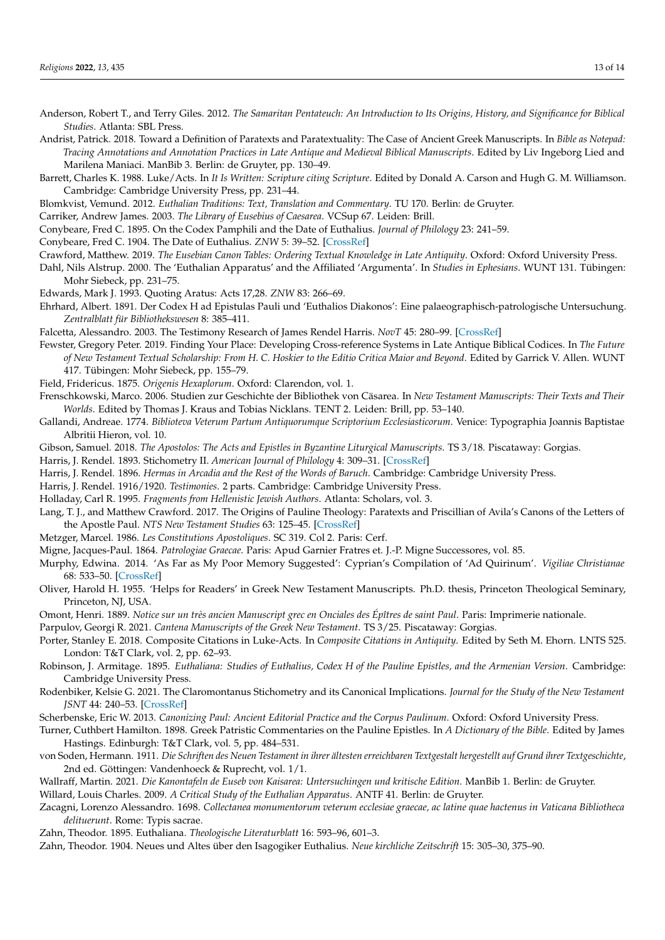<span id="page-12-30"></span>Anderson, Robert T., and Terry Giles. 2012. *The Samaritan Pentateuch: An Introduction to Its Origins, History, and Significance for Biblical Studies*. Atlanta: SBL Press.

<span id="page-12-25"></span>Andrist, Patrick. 2018. Toward a Definition of Paratexts and Paratextuality: The Case of Ancient Greek Manuscripts. In *Bible as Notepad: Tracing Annotations and Annotation Practices in Late Antique and Medieval Biblical Manuscripts*. Edited by Liv Ingeborg Lied and Marilena Maniaci. ManBib 3. Berlin: de Gruyter, pp. 130–49.

<span id="page-12-10"></span>Barrett, Charles K. 1988. Luke/Acts. In *It Is Written: Scripture citing Scripture*. Edited by Donald A. Carson and Hugh G. M. Williamson. Cambridge: Cambridge University Press, pp. 231–44.

<span id="page-12-6"></span>Blomkvist, Vemund. 2012. *Euthalian Traditions: Text, Translation and Commentary*. TU 170. Berlin: de Gruyter.

<span id="page-12-27"></span>Carriker, Andrew James. 2003. *The Library of Eusebius of Caesarea*. VCSup 67. Leiden: Brill.

<span id="page-12-21"></span>Conybeare, Fred C. 1895. On the Codex Pamphili and the Date of Euthalius. *Journal of Philology* 23: 241–59.

<span id="page-12-22"></span>Conybeare, Fred C. 1904. The Date of Euthalius. *ZNW* 5: 39–52. [\[CrossRef\]](http://doi.org/10.1515/zntw.1904.5.1.39)

<span id="page-12-4"></span><span id="page-12-2"></span>Crawford, Matthew. 2019. *The Eusebian Canon Tables: Ordering Textual Knowledge in Late Antiquity*. Oxford: Oxford University Press.

Dahl, Nils Alstrup. 2000. The 'Euthalian Apparatus' and the Affiliated 'Argumenta'. In *Studies in Ephesians*. WUNT 131. Tübingen: Mohr Siebeck, pp. 231–75.

<span id="page-12-34"></span>Edwards, Mark J. 1993. Quoting Aratus: Acts 17,28. *ZNW* 83: 266–69.

<span id="page-12-16"></span>Ehrhard, Albert. 1891. Der Codex H ad Epistulas Pauli und 'Euthalios Diakonos': Eine palaeographisch-patrologische Untersuchung. *Zentralblatt für Bibliothekswesen* 8: 385–411.

<span id="page-12-36"></span>Falcetta, Alessandro. 2003. The Testimony Research of James Rendel Harris. *NovT* 45: 280–99. [\[CrossRef\]](http://doi.org/10.1163/15685360360683307)

<span id="page-12-8"></span>Fewster, Gregory Peter. 2019. Finding Your Place: Developing Cross-reference Systems in Late Antique Biblical Codices. In *The Future of New Testament Textual Scholarship: From H. C. Hoskier to the Editio Critica Maior and Beyond*. Edited by Garrick V. Allen. WUNT 417. Tübingen: Mohr Siebeck, pp. 155–79.

<span id="page-12-29"></span>Field, Fridericus. 1875. *Origenis Hexaplorum*. Oxford: Clarendon, vol. 1.

<span id="page-12-28"></span>Frenschkowski, Marco. 2006. Studien zur Geschichte der Bibliothek von Cäsarea. In *New Testament Manuscripts: Their Texts and Their Worlds*. Edited by Thomas J. Kraus and Tobias Nicklans. TENT 2. Leiden: Brill, pp. 53–140.

<span id="page-12-17"></span>Gallandi, Andreae. 1774. *Biblioteva Veterum Partum Antiquorumque Scriptorium Ecclesiasticorum*. Venice: Typographia Joannis Baptistae Albritii Hieron, vol. 10.

<span id="page-12-24"></span>Gibson, Samuel. 2018. *The Apostolos: The Acts and Epistles in Byzantine Liturgical Manuscripts*. TS 3/18. Piscataway: Gorgias.

<span id="page-12-31"></span>Harris, J. Rendel. 1893. Stichometry II. *American Journal of Philology* 4: 309–31. [\[CrossRef\]](http://doi.org/10.2307/287016)

<span id="page-12-23"></span>Harris, J. Rendel. 1896. *Hermas in Arcadia and the Rest of the Words of Baruch*. Cambridge: Cambridge University Press.

<span id="page-12-33"></span><span id="page-12-13"></span>Harris, J. Rendel. 1916/1920. *Testimonies*. 2 parts. Cambridge: Cambridge University Press.

Holladay, Carl R. 1995. *Fragments from Hellenistic Jewish Authors*. Atlanta: Scholars, vol. 3.

<span id="page-12-1"></span>Lang, T. J., and Matthew Crawford. 2017. The Origins of Pauline Theology: Paratexts and Priscillian of Avila's Canons of the Letters of the Apostle Paul. *NTS New Testament Studies* 63: 125–45. [\[CrossRef\]](http://doi.org/10.1017/S002868851600031X)

<span id="page-12-32"></span>Metzger, Marcel. 1986. *Les Constitutions Apostoliques*. SC 319. Col 2. Paris: Cerf.

<span id="page-12-18"></span>Migne, Jacques-Paul. 1864. *Patrologiae Graecae*. Paris: Apud Garnier Fratres et. J.-P. Migne Successores, vol. 85.

<span id="page-12-35"></span>Murphy, Edwina. 2014. 'As Far as My Poor Memory Suggested': Cyprian's Compilation of 'Ad Quirinum'. *Vigiliae Christianae* 68: 533–50. [\[CrossRef\]](http://doi.org/10.1163/15700720-12341183)

<span id="page-12-38"></span>Oliver, Harold H. 1955. 'Helps for Readers' in Greek New Testament Manuscripts. Ph.D. thesis, Princeton Theological Seminary, Princeton, NJ, USA.

<span id="page-12-0"></span>Omont, Henri. 1889. *Notice sur un très ancien Manuscript grec en Onciales des Épîtres de saint Paul*. Paris: Imprimerie nationale.

<span id="page-12-9"></span>Parpulov, Georgi R. 2021. *Cantena Manuscripts of the Greek New Testament*. TS 3/25. Piscataway: Gorgias.

<span id="page-12-11"></span>Porter, Stanley E. 2018. Composite Citations in Luke-Acts. In *Composite Citations in Antiquity*. Edited by Seth M. Ehorn. LNTS 525. London: T&T Clark, vol. 2, pp. 62–93.

<span id="page-12-20"></span>Robinson, J. Armitage. 1895. *Euthaliana: Studies of Euthalius, Codex H of the Pauline Epistles, and the Armenian Version*. Cambridge: Cambridge University Press.

<span id="page-12-15"></span>Rodenbiker, Kelsie G. 2021. The Claromontanus Stichometry and its Canonical Implications. *Journal for the Study of the New Testament JSNT* 44: 240–53. [\[CrossRef\]](http://doi.org/10.1177/0142064X211055647)

<span id="page-12-7"></span>Scherbenske, Eric W. 2013. *Canonizing Paul: Ancient Editorial Practice and the Corpus Paulinum*. Oxford: Oxford University Press.

<span id="page-12-26"></span>Turner, Cuthbert Hamilton. 1898. Greek Patristic Commentaries on the Pauline Epistles. In *A Dictionary of the Bible*. Edited by James Hastings. Edinburgh: T&T Clark, vol. 5, pp. 484–531.

<span id="page-12-19"></span>von Soden, Hermann. 1911. *Die Schriften des Neuen Testament in ihrer ältesten erreichbaren Textgestalt hergestellt auf Grund ihrer Textgeschichte*, 2nd ed. Göttingen: Vandenhoeck & Ruprecht, vol. 1/1.

<span id="page-12-3"></span>Wallraff, Martin. 2021. *Die Kanontafeln de Euseb von Kaisarea: Untersuchingen und kritische Edition*. ManBib 1. Berlin: de Gruyter.

<span id="page-12-5"></span>Willard, Louis Charles. 2009. *A Critical Study of the Euthalian Apparatus*. ANTF 41. Berlin: de Gruyter.

<span id="page-12-12"></span>Zacagni, Lorenzo Alessandro. 1698. *Collectanea monumentorum veterum ecclesiae graecae, ac latine quae hactenus in Vaticana Bibliotheca delituerunt*. Rome: Typis sacrae.

<span id="page-12-37"></span>Zahn, Theodor. 1895. Euthaliana. *Theologische Literaturblatt* 16: 593–96, 601–3.

<span id="page-12-14"></span>Zahn, Theodor. 1904. Neues und Altes über den Isagogiker Euthalius. *Neue kirchliche Zeitschrift* 15: 305–30, 375–90.